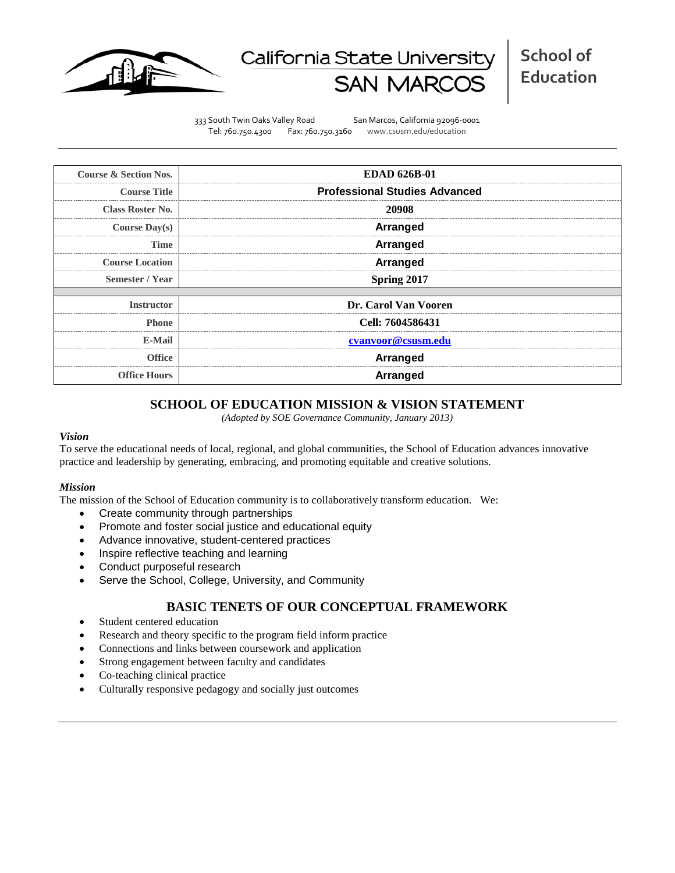

# California State Universit

333 South Twin Oaks Valley Road San Marcos, California 92096-0001 Tel: 760.750.4300 Fax: 760.750.3160 www.csusm.edu/education

| <b>Course &amp; Section Nos.</b> | <b>EDAD 626B-01</b>                  |  |  |  |  |
|----------------------------------|--------------------------------------|--|--|--|--|
| <b>Course Title</b>              | <b>Professional Studies Advanced</b> |  |  |  |  |
| <b>Class Roster No.</b>          | 20908                                |  |  |  |  |
| <b>Course Day(s)</b>             | Arranged                             |  |  |  |  |
| Time                             | <b>Arranged</b>                      |  |  |  |  |
| <b>Course Location</b>           | <b>Arranged</b>                      |  |  |  |  |
| Semester / Year                  | Spring 2017                          |  |  |  |  |
|                                  |                                      |  |  |  |  |
| <b>Instructor</b>                | Dr. Carol Van Vooren                 |  |  |  |  |
| <b>Phone</b>                     | Cell: 7604586431                     |  |  |  |  |
| E-Mail                           | cvanvoor@csusm.edu                   |  |  |  |  |
| Office                           | <b>Arranged</b>                      |  |  |  |  |
| <b>Office Hours</b>              | Arranged                             |  |  |  |  |

# **SCHOOL OF EDUCATION MISSION & VISION STATEMENT**

*(Adopted by SOE Governance Community, January 2013)*

#### *Vision*

To serve the educational needs of local, regional, and global communities, the School of Education advances innovative practice and leadership by generating, embracing, and promoting equitable and creative solutions.

#### *Mission*

The mission of the School of Education community is to collaboratively transform education. We:

- Create community through partnerships
- Promote and foster social justice and educational equity
- Advance innovative, student-centered practices
- Inspire reflective teaching and learning
- Conduct purposeful research
- Serve the School, College, University, and Community

# **BASIC TENETS OF OUR CONCEPTUAL FRAMEWORK**

- Student centered education
- Research and theory specific to the program field inform practice
- Connections and links between coursework and application
- Strong engagement between faculty and candidates
- Co-teaching clinical practice
- Culturally responsive pedagogy and socially just outcomes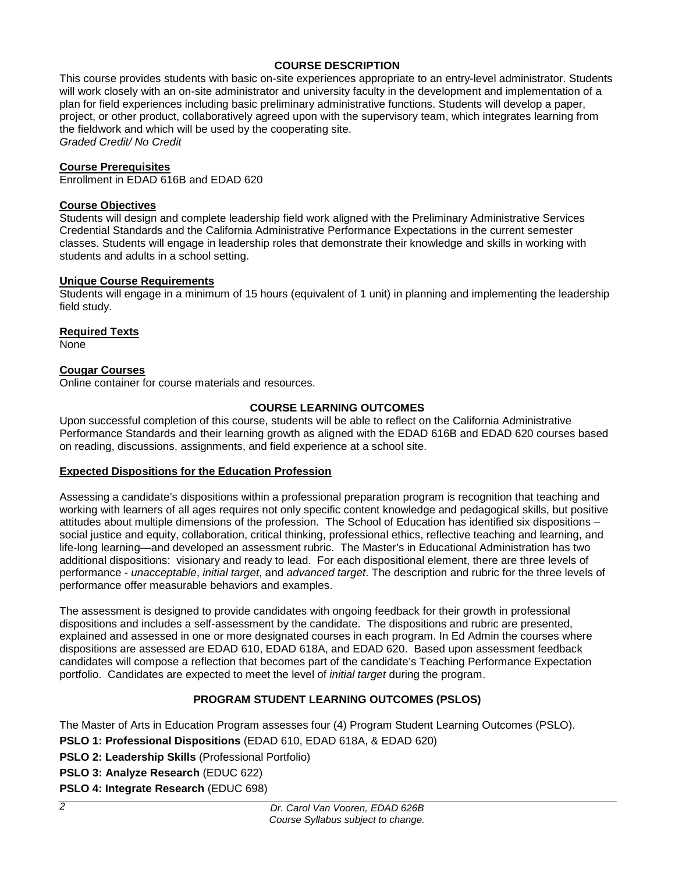# **COURSE DESCRIPTION**

This course provides students with basic on-site experiences appropriate to an entry-level administrator. Students will work closely with an on-site administrator and university faculty in the development and implementation of a plan for field experiences including basic preliminary administrative functions. Students will develop a paper, project, or other product, collaboratively agreed upon with the supervisory team, which integrates learning from the fieldwork and which will be used by the cooperating site. *Graded Credit/ No Credit*

## **Course Prerequisites**

Enrollment in EDAD 616B and EDAD 620

#### **Course Objectives**

Students will design and complete leadership field work aligned with the Preliminary Administrative Services Credential Standards and the California Administrative Performance Expectations in the current semester classes. Students will engage in leadership roles that demonstrate their knowledge and skills in working with students and adults in a school setting.

## **Unique Course Requirements**

Students will engage in a minimum of 15 hours (equivalent of 1 unit) in planning and implementing the leadership field study.

## **Required Texts**

None

# **Cougar Courses**

Online container for course materials and resources.

# **COURSE LEARNING OUTCOMES**

Upon successful completion of this course, students will be able to reflect on the California Administrative Performance Standards and their learning growth as aligned with the EDAD 616B and EDAD 620 courses based on reading, discussions, assignments, and field experience at a school site.

# **Expected Dispositions for the Education Profession**

Assessing a candidate's dispositions within a professional preparation program is recognition that teaching and working with learners of all ages requires not only specific content knowledge and pedagogical skills, but positive attitudes about multiple dimensions of the profession. The School of Education has identified six dispositions – social justice and equity, collaboration, critical thinking, professional ethics, reflective teaching and learning, and life-long learning—and developed an assessment rubric. The Master's in Educational Administration has two additional dispositions: visionary and ready to lead. For each dispositional element, there are three levels of performance - *unacceptable*, *initial target*, and *advanced target*. The description and rubric for the three levels of performance offer measurable behaviors and examples.

The assessment is designed to provide candidates with ongoing feedback for their growth in professional dispositions and includes a self-assessment by the candidate. The dispositions and rubric are presented, explained and assessed in one or more designated courses in each program. In Ed Admin the courses where dispositions are assessed are EDAD 610, EDAD 618A, and EDAD 620. Based upon assessment feedback candidates will compose a reflection that becomes part of the candidate's Teaching Performance Expectation portfolio. Candidates are expected to meet the level of *initial target* during the program.

# **PROGRAM STUDENT LEARNING OUTCOMES (PSLOS)**

The Master of Arts in Education Program assesses four (4) Program Student Learning Outcomes (PSLO).

- **PSLO 1: Professional Dispositions** (EDAD 610, EDAD 618A, & EDAD 620)
- **PSLO 2: Leadership Skills** (Professional Portfolio)
- **PSLO 3: Analyze Research** (EDUC 622)

**PSLO 4: Integrate Research** (EDUC 698)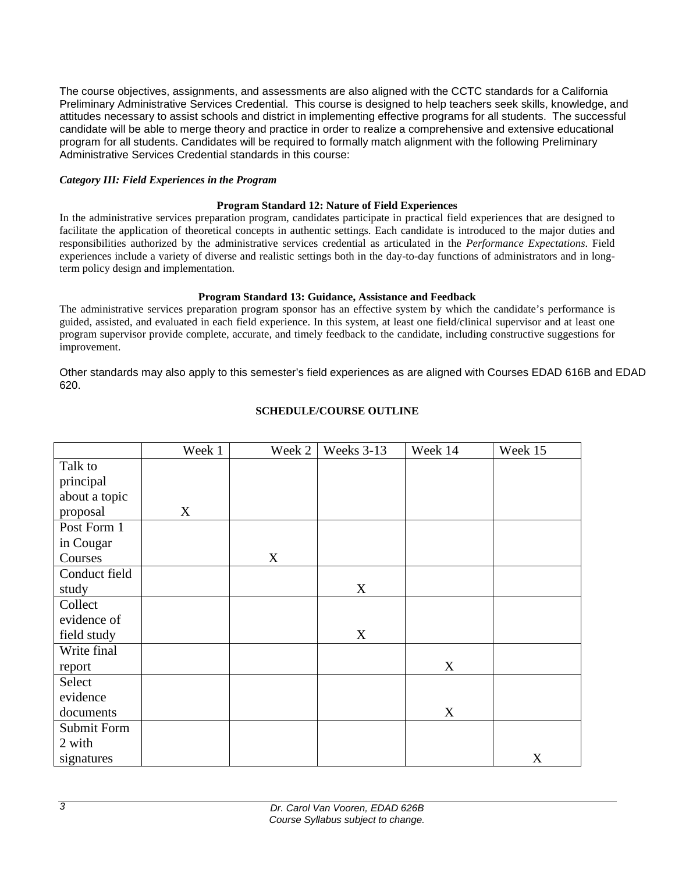The course objectives, assignments, and assessments are also aligned with the CCTC standards for a California Preliminary Administrative Services Credential. This course is designed to help teachers seek skills, knowledge, and attitudes necessary to assist schools and district in implementing effective programs for all students. The successful candidate will be able to merge theory and practice in order to realize a comprehensive and extensive educational program for all students. Candidates will be required to formally match alignment with the following Preliminary Administrative Services Credential standards in this course:

#### *Category III: Field Experiences in the Program*

#### **Program Standard 12: Nature of Field Experiences**

In the administrative services preparation program, candidates participate in practical field experiences that are designed to facilitate the application of theoretical concepts in authentic settings. Each candidate is introduced to the major duties and responsibilities authorized by the administrative services credential as articulated in the *Performance Expectations*. Field experiences include a variety of diverse and realistic settings both in the day-to-day functions of administrators and in longterm policy design and implementation.

#### **Program Standard 13: Guidance, Assistance and Feedback**

The administrative services preparation program sponsor has an effective system by which the candidate's performance is guided, assisted, and evaluated in each field experience. In this system, at least one field/clinical supervisor and at least one program supervisor provide complete, accurate, and timely feedback to the candidate, including constructive suggestions for improvement.

Other standards may also apply to this semester's field experiences as are aligned with Courses EDAD 616B and EDAD 620.

|               | Week 1 | Week 2 | Weeks 3-13 | Week 14 | Week 15 |
|---------------|--------|--------|------------|---------|---------|
| Talk to       |        |        |            |         |         |
| principal     |        |        |            |         |         |
| about a topic |        |        |            |         |         |
| proposal      | X      |        |            |         |         |
| Post Form 1   |        |        |            |         |         |
| in Cougar     |        |        |            |         |         |
| Courses       |        | X      |            |         |         |
| Conduct field |        |        |            |         |         |
| study         |        |        | X          |         |         |
| Collect       |        |        |            |         |         |
| evidence of   |        |        |            |         |         |
| field study   |        |        | X          |         |         |
| Write final   |        |        |            |         |         |
| report        |        |        |            | X       |         |
| Select        |        |        |            |         |         |
| evidence      |        |        |            |         |         |
| documents     |        |        |            | X       |         |
| Submit Form   |        |        |            |         |         |
| 2 with        |        |        |            |         |         |
| signatures    |        |        |            |         | X       |

## **SCHEDULE/COURSE OUTLINE**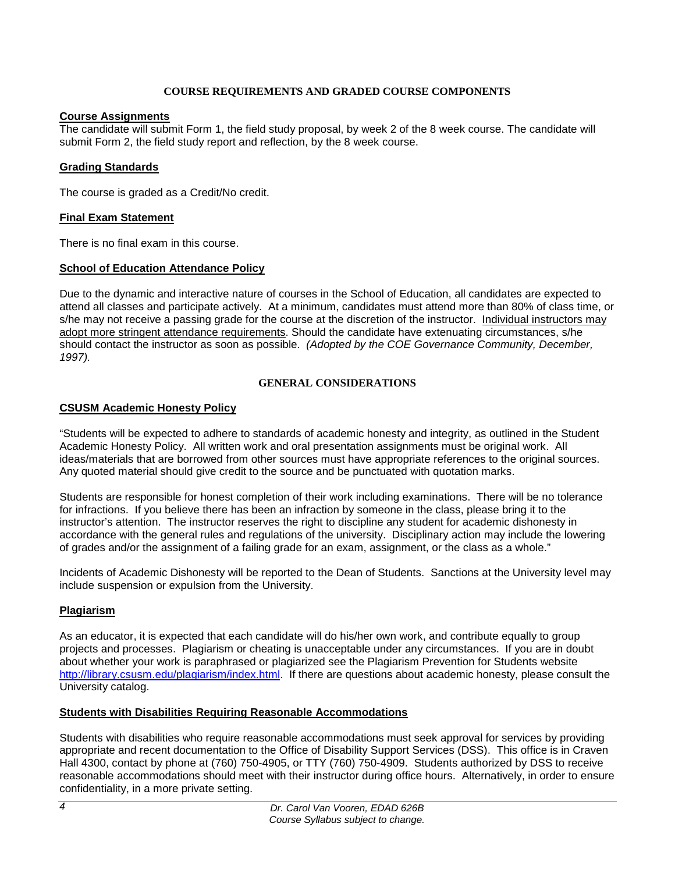# **COURSE REQUIREMENTS AND GRADED COURSE COMPONENTS**

# **Course Assignments**

The candidate will submit Form 1, the field study proposal, by week 2 of the 8 week course. The candidate will submit Form 2, the field study report and reflection, by the 8 week course.

# **Grading Standards**

The course is graded as a Credit/No credit.

## **Final Exam Statement**

There is no final exam in this course.

# **School of Education Attendance Policy**

Due to the dynamic and interactive nature of courses in the School of Education, all candidates are expected to attend all classes and participate actively. At a minimum, candidates must attend more than 80% of class time, or s/he may not receive a passing grade for the course at the discretion of the instructor. Individual instructors may adopt more stringent attendance requirements. Should the candidate have extenuating circumstances, s/he should contact the instructor as soon as possible. *(Adopted by the COE Governance Community, December, 1997).*

## **GENERAL CONSIDERATIONS**

## **CSUSM Academic Honesty Policy**

"Students will be expected to adhere to standards of academic honesty and integrity, as outlined in the Student Academic Honesty Policy. All written work and oral presentation assignments must be original work. All ideas/materials that are borrowed from other sources must have appropriate references to the original sources. Any quoted material should give credit to the source and be punctuated with quotation marks.

Students are responsible for honest completion of their work including examinations. There will be no tolerance for infractions. If you believe there has been an infraction by someone in the class, please bring it to the instructor's attention. The instructor reserves the right to discipline any student for academic dishonesty in accordance with the general rules and regulations of the university. Disciplinary action may include the lowering of grades and/or the assignment of a failing grade for an exam, assignment, or the class as a whole."

Incidents of Academic Dishonesty will be reported to the Dean of Students. Sanctions at the University level may include suspension or expulsion from the University.

# **Plagiarism**

As an educator, it is expected that each candidate will do his/her own work, and contribute equally to group projects and processes. Plagiarism or cheating is unacceptable under any circumstances. If you are in doubt about whether your work is paraphrased or plagiarized see the Plagiarism Prevention for Students website [http://library.csusm.edu/plagiarism/index.html.](http://library.csusm.edu/plagiarism/index.html) If there are questions about academic honesty, please consult the University catalog.

# **Students with Disabilities Requiring Reasonable Accommodations**

Students with disabilities who require reasonable accommodations must seek approval for services by providing appropriate and recent documentation to the Office of Disability Support Services (DSS). This office is in Craven Hall 4300, contact by phone at (760) 750-4905, or TTY (760) 750-4909. Students authorized by DSS to receive reasonable accommodations should meet with their instructor during office hours. Alternatively, in order to ensure confidentiality, in a more private setting.